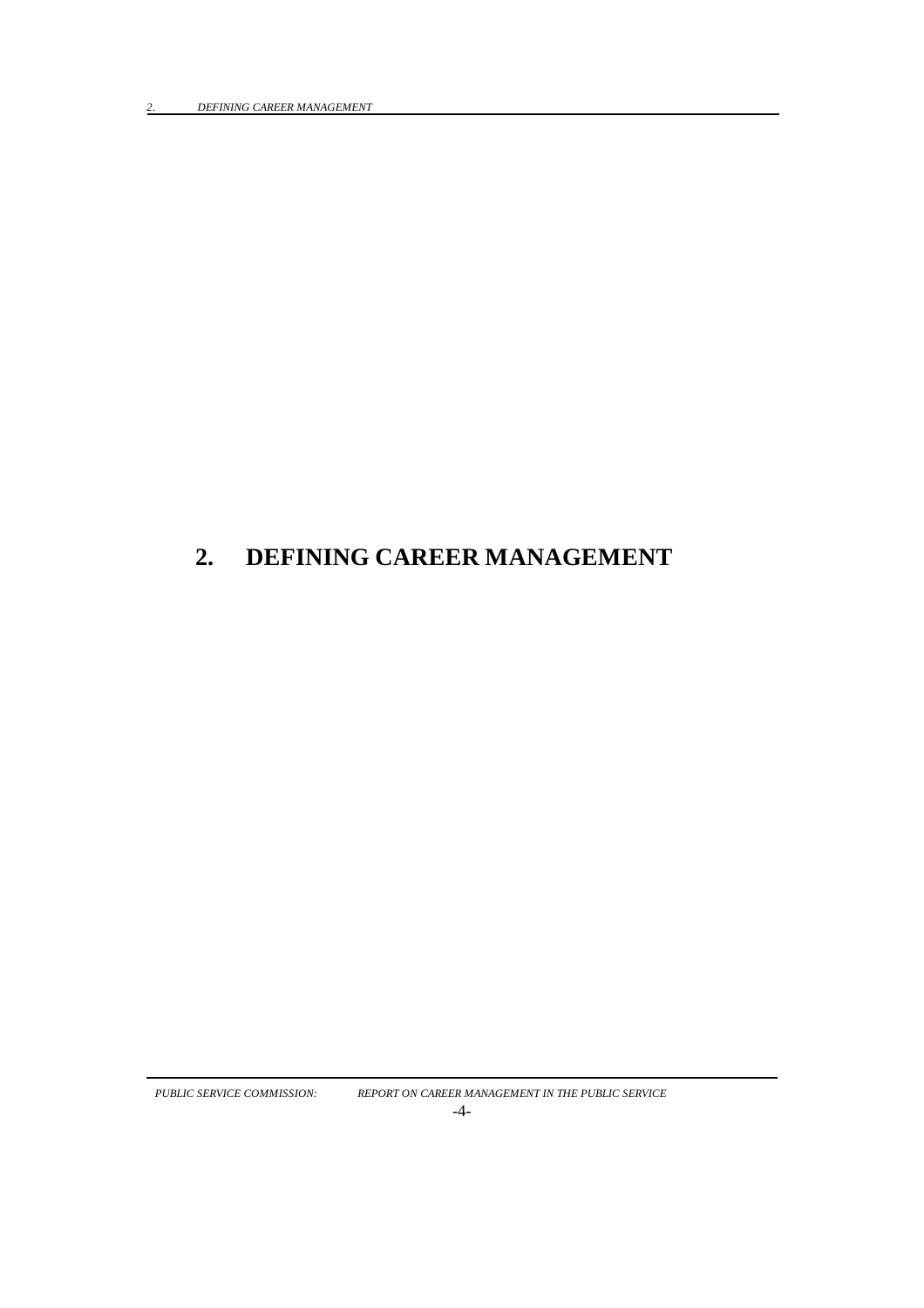# **2. DEFINING CAREER MANAGEMENT**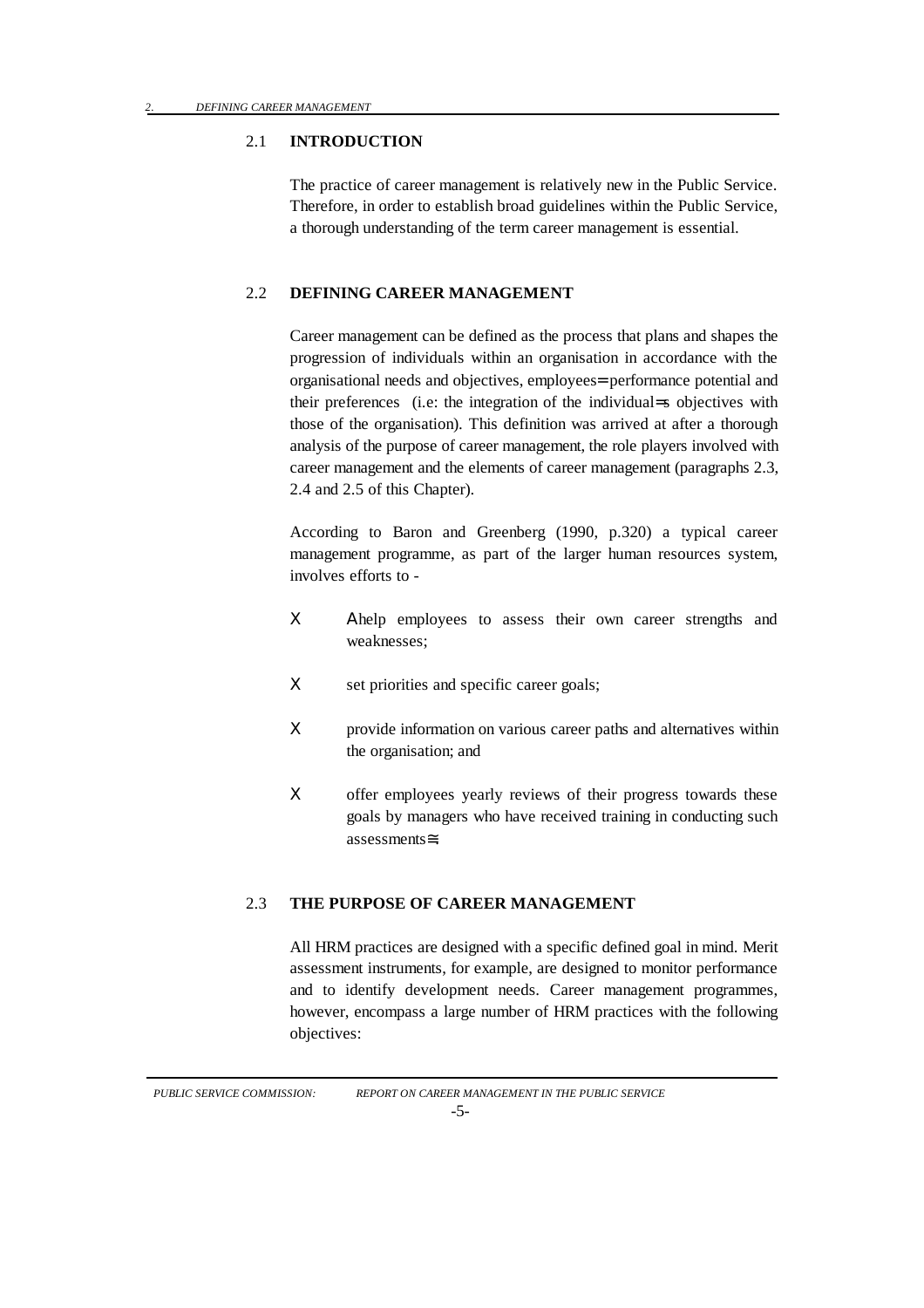#### 2.1 **INTRODUCTION**

The practice of career management is relatively new in the Public Service. Therefore, in order to establish broad guidelines within the Public Service, a thorough understanding of the term career management is essential.

#### 2.2 **DEFINING CAREER MANAGEMENT**

Career management can be defined as the process that plans and shapes the progression of individuals within an organisation in accordance with the organisational needs and objectives, employees= performance potential and their preferences (i.e: the integration of the individual=s objectives with those of the organisation). This definition was arrived at after a thorough analysis of the purpose of career management, the role players involved with career management and the elements of career management (paragraphs 2.3, 2.4 and 2.5 of this Chapter).

According to Baron and Greenberg (1990, p.320) a typical career management programme, as part of the larger human resources system, involves efforts to -

- Χ Αhelp employees to assess their own career strengths and weaknesses;
- X set priorities and specific career goals;
- X provide information on various career paths and alternatives within the organisation; and
- X offer employees yearly reviews of their progress towards these goals by managers who have received training in conducting such assessments≅.

#### 2.3 **THE PURPOSE OF CAREER MANAGEMENT**

All HRM practices are designed with a specific defined goal in mind. Merit assessment instruments, for example, are designed to monitor performance and to identify development needs. Career management programmes, however, encompass a large number of HRM practices with the following objectives: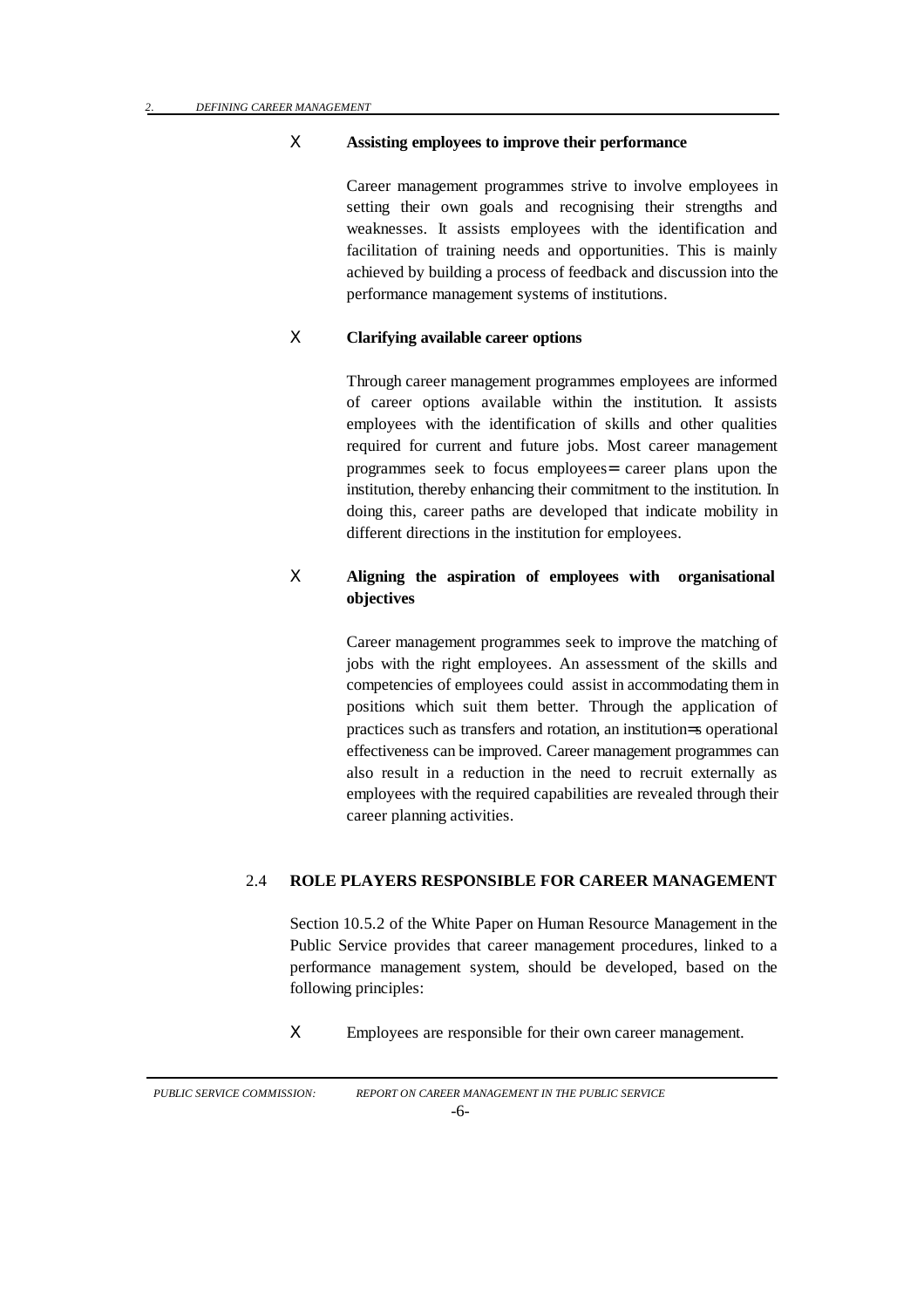#### Χ **Assisting employees to improve their performance**

Career management programmes strive to involve employees in setting their own goals and recognising their strengths and weaknesses. It assists employees with the identification and facilitation of training needs and opportunities. This is mainly achieved by building a process of feedback and discussion into the performance management systems of institutions.

# Χ **Clarifying available career options**

Through career management programmes employees are informed of career options available within the institution. It assists employees with the identification of skills and other qualities required for current and future jobs. Most career management programmes seek to focus employees= career plans upon the institution, thereby enhancing their commitment to the institution. In doing this, career paths are developed that indicate mobility in different directions in the institution for employees.

# Χ **Aligning the aspiration of employees with organisational objectives**

Career management programmes seek to improve the matching of jobs with the right employees. An assessment of the skills and competencies of employees could assist in accommodating them in positions which suit them better. Through the application of practices such as transfers and rotation, an institution=s operational effectiveness can be improved. Career management programmes can also result in a reduction in the need to recruit externally as employees with the required capabilities are revealed through their career planning activities.

#### 2.4 **ROLE PLAYERS RESPONSIBLE FOR CAREER MANAGEMENT**

Section 10.5.2 of the White Paper on Human Resource Management in the Public Service provides that career management procedures, linked to a performance management system, should be developed, based on the following principles:

Χ Employees are responsible for their own career management.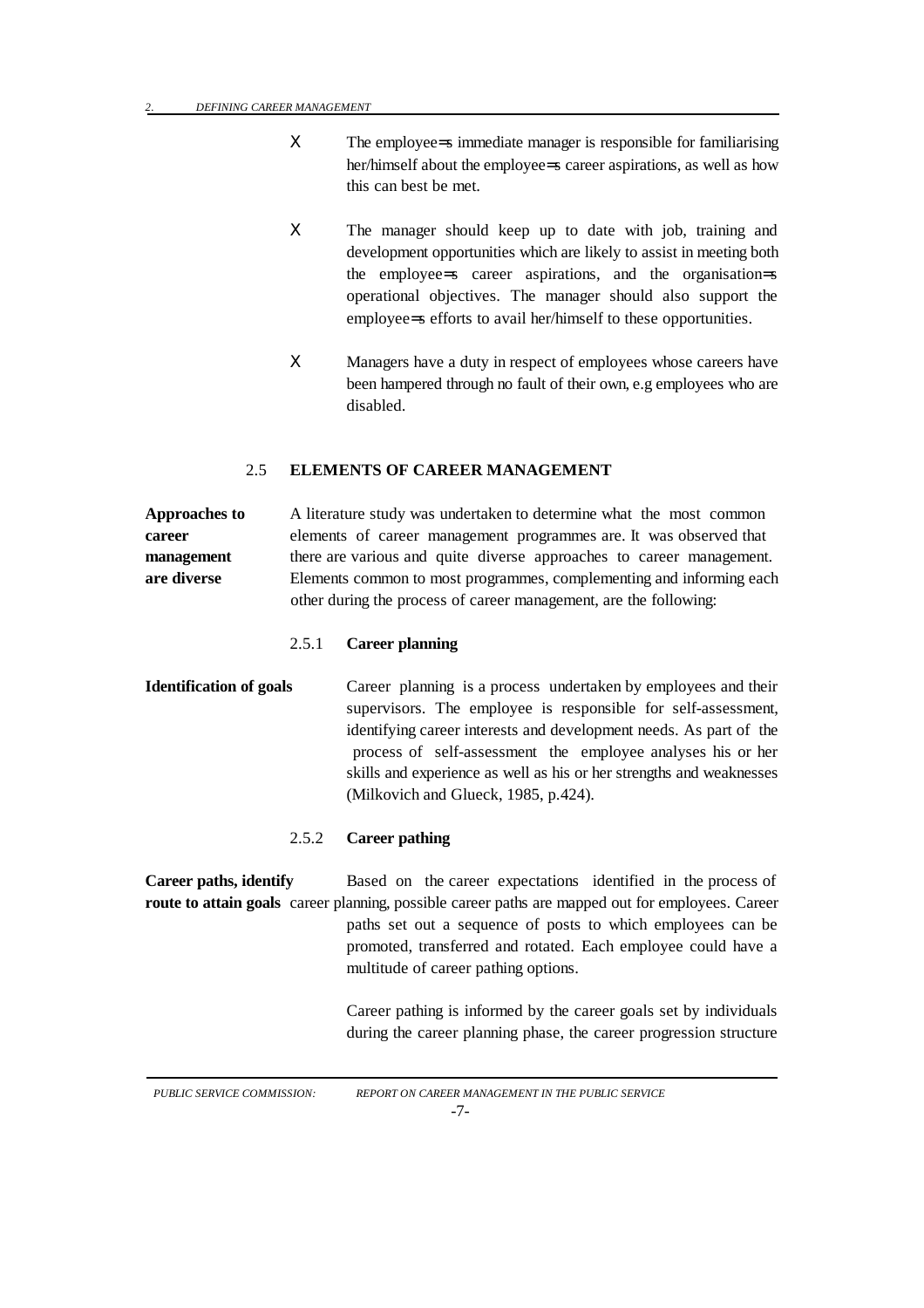- Χ The employee=s immediate manager is responsible for familiarising her/himself about the employee=s career aspirations, as well as how this can best be met.
- X The manager should keep up to date with job, training and development opportunities which are likely to assist in meeting both the employee=s career aspirations, and the organisation=s operational objectives. The manager should also support the employee=s efforts to avail her/himself to these opportunities.
- Χ Managers have a duty in respect of employees whose careers have been hampered through no fault of their own, e.g employees who are disabled.

#### 2.5 **ELEMENTS OF CAREER MANAGEMENT**

**Approaches to** A literature study was undertaken to determine what the most common **career** elements of career management programmes are. It was observed that **management** there are various and quite diverse approaches to career management. **are diverse** Elements common to most programmes, complementing and informing each other during the process of career management, are the following:

## 2.5.1 **Career planning**

**Identification of goals** Career planning is a process undertaken by employees and their supervisors. The employee is responsible for self-assessment, identifying career interests and development needs. As part of the process of self-assessment the employee analyses his or her skills and experience as well as his or her strengths and weaknesses (Milkovich and Glueck, 1985, p.424).

#### 2.5.2 **Career pathing**

**Career paths, identify** Based on the career expectations identified in the process of **route to attain goals** career planning, possible career paths are mapped out for employees. Career paths set out a sequence of posts to which employees can be promoted, transferred and rotated. Each employee could have a multitude of career pathing options.

> Career pathing is informed by the career goals set by individuals during the career planning phase, the career progression structure

*PUBLIC SERVICE COMMISSION: REPORT ON CAREER MANAGEMENT IN THE PUBLIC SERVICE* -7